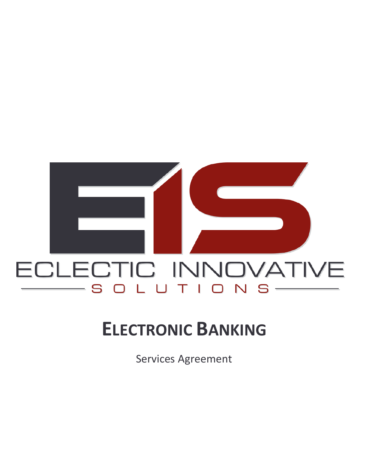

# **ELECTRONIC BANKING**

**Services Agreement**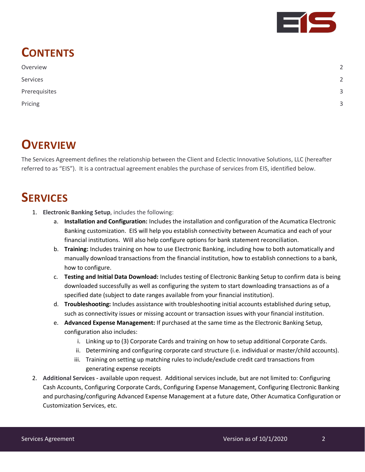

## **CONTENTS**

| Overview      | $\overline{2}$ |
|---------------|----------------|
| Services      | $\overline{2}$ |
| Prerequisites | 3              |
| Pricing       | 3              |

### <span id="page-1-0"></span>**OVERVIEW**

The Services Agreement defines the relationship between the Client and Eclectic Innovative Solutions, LLC (hereafter referred to as "EIS"). It is a contractual agreement enables the purchase of services from EIS, identified below.

## <span id="page-1-1"></span>**SERVICES**

- 1. **Electronic Banking Setup**, includes the following:
	- a. **Installation and Configuration:** Includes the installation and configuration of the Acumatica Electronic Banking customization. EIS will help you establish connectivity between Acumatica and each of your financial institutions. Will also help configure options for bank statement reconciliation.
	- b. **Training:** Includes training on how to use Electronic Banking, including how to both automatically and manually download transactions from the financial institution, how to establish connections to a bank, how to configure.
	- c. **Testing and Initial Data Download:** Includes testing of Electronic Banking Setup to confirm data is being downloaded successfully as well as configuring the system to start downloading transactions as of a specified date (subject to date ranges available from your financial institution).
	- d. **Troubleshooting:** Includes assistance with troubleshooting initial accounts established during setup, such as connectivity issues or missing account or transaction issues with your financial institution.
	- e. **Advanced Expense Management:** If purchased at the same time as the Electronic Banking Setup, configuration also includes:
		- i. Linking up to (3) Corporate Cards and training on how to setup additional Corporate Cards.
		- ii. Determining and configuring corporate card structure (i.e. individual or master/child accounts).
		- iii. Training on setting up matching rules to include/exclude credit card transactions from generating expense receipts
- 2. **Additional Services -** available upon request. Additional services include, but are not limited to: Configuring Cash Accounts, Configuring Corporate Cards, Configuring Expense Management, Configuring Electronic Banking and purchasing/configuring Advanced Expense Management at a future date, Other Acumatica Configuration or Customization Services, etc.